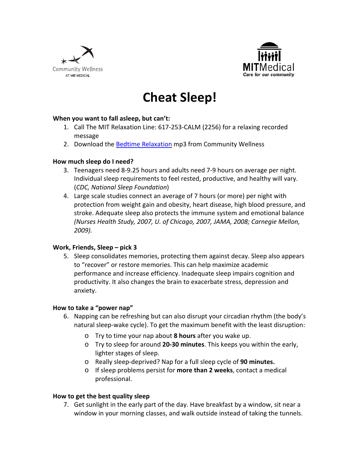



# **Cheat Sleep!**

### **When you want to fall asleep, but can't:**

- 1. Call The MIT Relaxation Line: 617‐253‐CALM (2256) for a relaxing recorded message
- 2. Download the **Bedtime Relaxation** mp3 from Community Wellness

#### **How much sleep do I need?**

- 3. Teenagers need 8‐9.25 hours and adults need 7‐9 hours on average per night. Individual sleep requirements to feel rested, productive, and healthy will vary. (*CDC, National Sleep Foundation*)
- 4. Large scale studies connect an average of 7 hours (or more) per night with protection from weight gain and obesity, heart disease, high blood pressure, and stroke. Adequate sleep also protects the immune system and emotional balance *(Nurses Health Study, 2007, U. of Chicago, 2007, JAMA, 2008; Carnegie Mellon, 2009).*

#### **Work, Friends, Sleep – pick 3**

5. Sleep consolidates memories, protecting them against decay. Sleep also appears to "recover" or restore memories. This can help maximize academic performance and increase efficiency. Inadequate sleep impairs cognition and productivity. It also changes the brain to exacerbate stress, depression and anxiety.

#### **How to take a "power nap"**

- 6. Napping can be refreshing but can also disrupt your circadian rhythm (the body's natural sleep‐wake cycle). To get the maximum benefit with the least disruption:
	- o Try to time your nap about **8 hours** after you wake up.
	- o Try to sleep for around **20‐30 minutes**. This keeps you within the early, lighter stages of sleep.
	- o Really sleep‐deprived? Nap for a full sleep cycle of **90 minutes.**
	- o If sleep problems persist for **more than 2 weeks**, contact a medical professional.

#### **How to get the best quality sleep**

7. Get sunlight in the early part of the day. Have breakfast by a window, sit near a window in your morning classes, and walk outside instead of taking the tunnels.